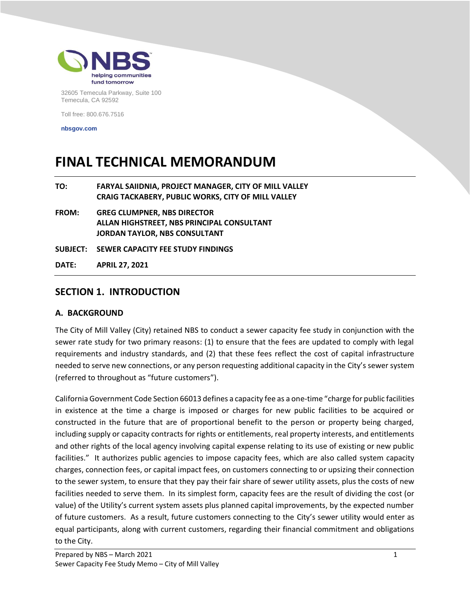

32605 Temecula Parkway, Suite 100 Temecula, CA 92592

Toll free: 800.676.7516

**nbsgov.com**

# **FINAL TECHNICAL MEMORANDUM**

| TO:          | <b>FARYAL SAIIDNIA. PROJECT MANAGER. CITY OF MILL VALLEY</b><br><b>CRAIG TACKABERY. PUBLIC WORKS. CITY OF MILL VALLEY</b> |
|--------------|---------------------------------------------------------------------------------------------------------------------------|
| <b>FROM:</b> | <b>GREG CLUMPNER. NBS DIRECTOR</b><br>ALLAN HIGHSTREET. NBS PRINCIPAL CONSULTANT                                          |

**JORDAN TAYLOR, NBS CONSULTANT**

**SUBJECT: SEWER CAPACITY FEE STUDY FINDINGS**

**DATE: APRIL 27, 2021**

## **SECTION 1. INTRODUCTION**

#### **A. BACKGROUND**

The City of Mill Valley (City) retained NBS to conduct a sewer capacity fee study in conjunction with the sewer rate study for two primary reasons: (1) to ensure that the fees are updated to comply with legal requirements and industry standards, and (2) that these fees reflect the cost of capital infrastructure needed to serve new connections, or any person requesting additional capacity in the City's sewer system (referred to throughout as "future customers").

California Government Code Section 66013 defines a capacity fee as a one-time "charge for public facilities in existence at the time a charge is imposed or charges for new public facilities to be acquired or constructed in the future that are of proportional benefit to the person or property being charged, including supply or capacity contracts for rights or entitlements, real property interests, and entitlements and other rights of the local agency involving capital expense relating to its use of existing or new public facilities." It authorizes public agencies to impose capacity fees, which are also called system capacity charges, connection fees, or capital impact fees, on customers connecting to or upsizing their connection to the sewer system, to ensure that they pay their fair share of sewer utility assets, plus the costs of new facilities needed to serve them. In its simplest form, capacity fees are the result of dividing the cost (or value) of the Utility's current system assets plus planned capital improvements, by the expected number of future customers. As a result, future customers connecting to the City's sewer utility would enter as equal participants, along with current customers, regarding their financial commitment and obligations to the City.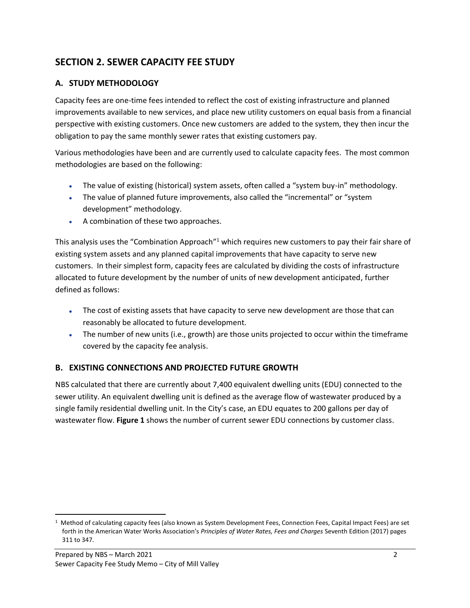## **SECTION 2. SEWER CAPACITY FEE STUDY**

## **A. STUDY METHODOLOGY**

Capacity fees are one-time fees intended to reflect the cost of existing infrastructure and planned improvements available to new services, and place new utility customers on equal basis from a financial perspective with existing customers. Once new customers are added to the system, they then incur the obligation to pay the same monthly sewer rates that existing customers pay.

Various methodologies have been and are currently used to calculate capacity fees. The most common methodologies are based on the following:

- The value of existing (historical) system assets, often called a "system buy-in" methodology.
- The value of planned future improvements, also called the "incremental" or "system development" methodology.
- A combination of these two approaches.

This analysis uses the "Combination Approach"<sup>1</sup> which requires new customers to pay their fair share of existing system assets and any planned capital improvements that have capacity to serve new customers. In their simplest form, capacity fees are calculated by dividing the costs of infrastructure allocated to future development by the number of units of new development anticipated, further defined as follows:

- The cost of existing assets that have capacity to serve new development are those that can reasonably be allocated to future development.
- The number of new units (i.e., growth) are those units projected to occur within the timeframe covered by the capacity fee analysis.

## **B. EXISTING CONNECTIONS AND PROJECTED FUTURE GROWTH**

NBS calculated that there are currently about 7,400 equivalent dwelling units (EDU) connected to the sewer utility. An equivalent dwelling unit is defined as the average flow of wastewater produced by a single family residential dwelling unit. In the City's case, an EDU equates to 200 gallons per day of wastewater flow. **Figure 1** shows the number of current sewer EDU connections by customer class.

<sup>1</sup> Method of calculating capacity fees (also known as System Development Fees, Connection Fees, Capital Impact Fees) are set forth in the American Water Works Association's *Principles of Water Rates, Fees and Charges* Seventh Edition (2017) pages 311 to 347.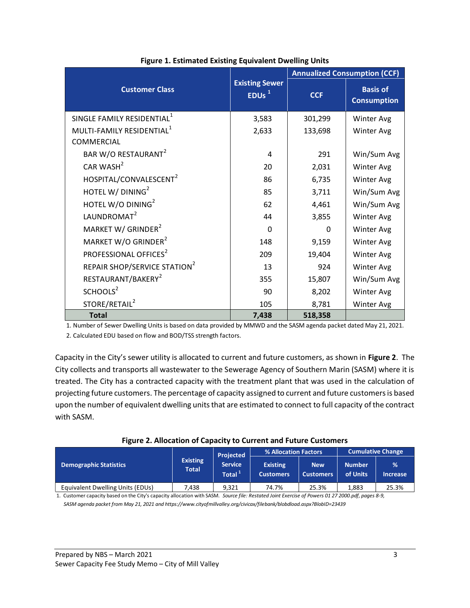|                                          |                                            | <b>Annualized Consumption (CCF)</b> |                                       |  |  |  |
|------------------------------------------|--------------------------------------------|-------------------------------------|---------------------------------------|--|--|--|
| <b>Customer Class</b>                    | <b>Existing Sewer</b><br>EDUs <sup>1</sup> | <b>CCF</b>                          | <b>Basis of</b><br><b>Consumption</b> |  |  |  |
| SINGLE FAMILY RESIDENTIAL <sup>1</sup>   | 3,583                                      | 301,299                             | Winter Avg                            |  |  |  |
| MULTI-FAMILY RESIDENTIAL <sup>1</sup>    | 2,633                                      | 133,698                             | Winter Avg                            |  |  |  |
| COMMERCIAL                               |                                            |                                     |                                       |  |  |  |
| BAR W/O RESTAURANT <sup>2</sup>          | 4                                          | 291                                 | Win/Sum Avg                           |  |  |  |
| CAR WASH $2$                             | 20                                         | 2,031                               | Winter Avg                            |  |  |  |
| HOSPITAL/CONVALESCENT <sup>2</sup>       | 86                                         | 6,735                               | Winter Avg                            |  |  |  |
| HOTEL W/ DINING <sup>2</sup>             | 85                                         | 3,711                               | Win/Sum Avg                           |  |  |  |
| HOTEL W/O DINING <sup>2</sup>            | 62                                         | 4,461                               | Win/Sum Avg                           |  |  |  |
| LAUNDROMAT <sup>2</sup>                  | 44                                         | 3,855                               | Winter Avg                            |  |  |  |
| MARKET W/ GRINDER <sup>2</sup>           | $\Omega$                                   | <sup>0</sup>                        | Winter Avg                            |  |  |  |
| MARKET W/O GRINDER <sup>2</sup>          | 148                                        | 9,159                               | Winter Avg                            |  |  |  |
| PROFESSIONAL OFFICES <sup>2</sup>        | 209                                        | 19,404                              | Winter Avg                            |  |  |  |
| REPAIR SHOP/SERVICE STATION <sup>2</sup> | 13                                         | 924                                 | Winter Avg                            |  |  |  |
| RESTAURANT/BAKERY <sup>2</sup>           | 355                                        | 15,807                              | Win/Sum Avg                           |  |  |  |
| SCHOOLS <sup>2</sup>                     | 90                                         | 8,202                               | Winter Avg                            |  |  |  |
| STORE/RETAIL <sup>2</sup>                | 105                                        | 8,781                               | Winter Avg                            |  |  |  |
| <b>Total</b>                             | 7,438                                      | 518,358                             |                                       |  |  |  |

|  |  | <b>Figure 1. Estimated Existing Equivalent Dwelling Units</b> |  |
|--|--|---------------------------------------------------------------|--|
|  |  |                                                               |  |

1. Number of Sewer Dwelling Units is based on data provided by MMWD and the SASM agenda packet dated May 21, 2021.

2. Calculated EDU based on flow and BOD/TSS strength factors.

Capacity in the City's sewer utility is allocated to current and future customers, as shown in **Figure 2**. The City collects and transports all wastewater to the Sewerage Agency of Southern Marin (SASM) where it is treated. The City has a contracted capacity with the treatment plant that was used in the calculation of projecting future customers. The percentage of capacity assigned to current and future customers is based upon the number of equivalent dwelling units that are estimated to connect to full capacity of the contract with SASM.

| Figure 2. Allocation of Capacity to Current and Future Customers |  |
|------------------------------------------------------------------|--|
|------------------------------------------------------------------|--|

|                                  |                                 | <b>Projected</b>                     | % Allocation Factors                |                                |                     | <b>Cumulative Change</b>         |
|----------------------------------|---------------------------------|--------------------------------------|-------------------------------------|--------------------------------|---------------------|----------------------------------|
| <b>Demographic Statistics</b>    | <b>Existing</b><br><b>Total</b> | <b>Service</b><br>Total <sup>1</sup> | <b>Existing</b><br><b>Customers</b> | <b>New</b><br><b>Customers</b> | 'Number<br>of Units | $\frac{9}{6}$<br><b>Increase</b> |
| Equivalent Dwelling Units (EDUs) | 7.438                           | 9.321                                | 74.7%                               | 25.3%                          | 1.883               | 25.3%                            |

1. Customer capacity based on the City's capacity allocation with SASM. *Source file: Restated Joint Exercise of Powers 01 27 2000.pdf, pages 8-9, SASM agenda packet from May 21, 2021 and https://www.cityofmillvalley.org/civicax/filebank/blobdload.aspx?BlobID=23439*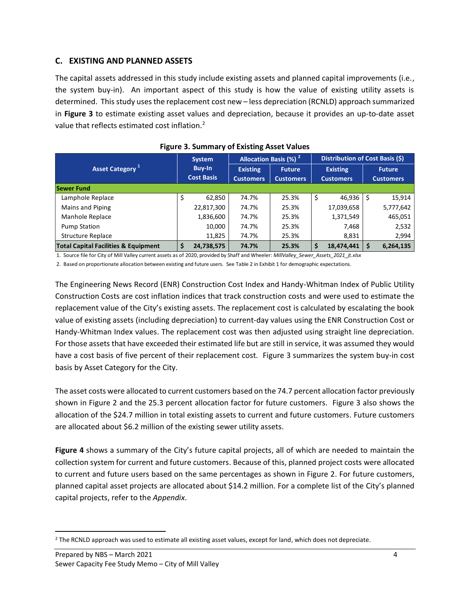## **C. EXISTING AND PLANNED ASSETS**

The capital assets addressed in this study include existing assets and planned capital improvements (i.e., the system buy-in). An important aspect of this study is how the value of existing utility assets is determined. Thisstudy uses the replacement cost new – less depreciation (RCNLD) approach summarized in **Figure 3** to estimate existing asset values and depreciation, because it provides an up-to-date asset value that reflects estimated cost inflation.<sup>2</sup>

| Asset Category <sup>1</sup>                     |     | <b>System</b>                      | Allocation Basis (%) <sup>2</sup>   |                                   |    | Distribution of Cost Basis (\$)     |   |                                   |  |
|-------------------------------------------------|-----|------------------------------------|-------------------------------------|-----------------------------------|----|-------------------------------------|---|-----------------------------------|--|
|                                                 |     | <b>Buy-In</b><br><b>Cost Basis</b> | <b>Existing</b><br><b>Customers</b> | <b>Future</b><br><b>Customers</b> |    | <b>Existing</b><br><b>Customers</b> |   | <b>Future</b><br><b>Customers</b> |  |
| <b>Sewer Fund</b>                               |     |                                    |                                     |                                   |    |                                     |   |                                   |  |
| Lamphole Replace                                | \$. | 62,850                             | 74.7%                               | 25.3%                             | \$ | 46.936                              | Ŝ | 15,914                            |  |
| Mains and Piping                                |     | 22,817,300                         | 74.7%                               | 25.3%                             |    | 17,039,658                          |   | 5,777,642                         |  |
| Manhole Replace                                 |     | 1,836,600                          | 74.7%                               | 25.3%                             |    | 1,371,549                           |   | 465,051                           |  |
| <b>Pump Station</b>                             |     | 10,000                             | 74.7%                               | 25.3%                             |    | 7,468                               |   | 2,532                             |  |
| <b>Structure Replace</b>                        |     | 11,825                             | 74.7%                               | 25.3%                             |    | 8,831                               |   | 2,994                             |  |
| <b>Total Capital Facilities &amp; Equipment</b> | \$  | 24,738,575                         | 74.7%                               | 25.3%                             | \$ | 18,474,441                          |   | 6,264,135                         |  |

1. Source file for City of Mill Valley current assets as of 2020, provided by Shaff and Wheeler: *MillValley\_Sewer\_Assets\_2021\_jt.xlsx*

2. Based on proportionate allocation between existing and future users. See Table 2 in Exhibit 1 for demographic expectations.

The Engineering News Record (ENR) Construction Cost Index and Handy-Whitman Index of Public Utility Construction Costs are cost inflation indices that track construction costs and were used to estimate the replacement value of the City's existing assets. The replacement cost is calculated by escalating the book value of existing assets (including depreciation) to current-day values using the ENR Construction Cost or Handy-Whitman Index values. The replacement cost was then adjusted using straight line depreciation. For those assets that have exceeded their estimated life but are still in service, it was assumed they would have a cost basis of five percent of their replacement cost. Figure 3 summarizes the system buy-in cost basis by Asset Category for the City.

The asset costs were allocated to current customers based on the 74.7 percent allocation factor previously shown in Figure 2 and the 25.3 percent allocation factor for future customers. Figure 3 also shows the allocation of the \$24.7 million in total existing assets to current and future customers. Future customers are allocated about \$6.2 million of the existing sewer utility assets.

**Figure 4** shows a summary of the City's future capital projects, all of which are needed to maintain the collection system for current and future customers. Because of this, planned project costs were allocated to current and future users based on the same percentages as shown in Figure 2. For future customers, planned capital asset projects are allocated about \$14.2 million. For a complete list of the City's planned capital projects, refer to the *Appendix*.

<sup>&</sup>lt;sup>2</sup> The RCNLD approach was used to estimate all existing asset values, except for land, which does not depreciate.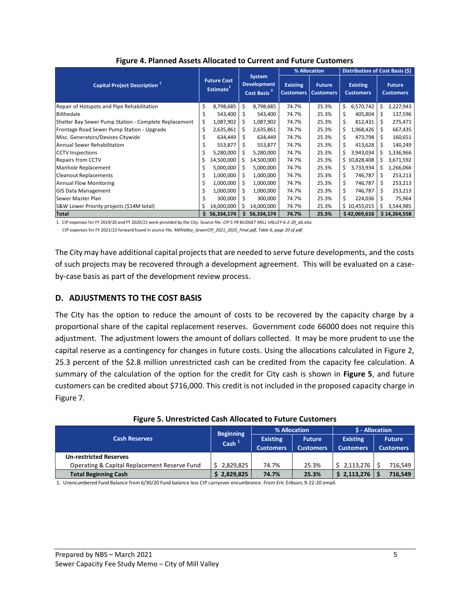|                                                       |                                             |            |    |            | % Allocation |       |    | <b>Distribution of Cost Basis (\$)</b>                  |                                     |                                   |  |                                     |  |                                   |
|-------------------------------------------------------|---------------------------------------------|------------|----|------------|--------------|-------|----|---------------------------------------------------------|-------------------------------------|-----------------------------------|--|-------------------------------------|--|-----------------------------------|
| <b>Capital Project Description</b> 1                  | <b>Future Cost</b><br>Estimate <sup>1</sup> |            |    |            |              |       |    | System<br><b>Development</b><br>Cost Basis <sup>3</sup> | <b>Existing</b><br><b>Customers</b> | <b>Future</b><br><b>Customers</b> |  | <b>Existing</b><br><b>Customers</b> |  | <b>Future</b><br><b>Customers</b> |
| Repair of Hotspots and Pipe Rehabilitation            | \$                                          | 8,798,685  | \$ | 8,798,685  | 74.7%        | 25.3% | \$ | 6,570,742                                               | \$.                                 | 2,227,943                         |  |                                     |  |                                   |
| Bilthedale                                            |                                             | 543,400    | \$ | 543,400    | 74.7%        | 25.3% | \$ | 405,804                                                 | \$                                  | 137,596                           |  |                                     |  |                                   |
| Shelter Bay Sewer Pump Station - Complete Replacement | S                                           | 1,087,902  | \$ | 1,087,902  | 74.7%        | 25.3% | \$ | 812,431                                                 | \$                                  | 275,471                           |  |                                     |  |                                   |
| Frontage Road Sewer Pump Station - Upgrade            | \$                                          | 2,635,861  | \$ | 2,635,861  | 74.7%        | 25.3% | \$ | 1,968,426                                               | \$                                  | 667,435                           |  |                                     |  |                                   |
| Misc. Generators/Devices Citywide                     | S                                           | 634,449    | S  | 634,449    | 74.7%        | 25.3% | \$ | 473,798                                                 | \$                                  | 160,651                           |  |                                     |  |                                   |
| <b>Annual Sewer Rehabilitation</b>                    |                                             | 553,877    | \$ | 553,877    | 74.7%        | 25.3% | \$ | 413,628                                                 | \$                                  | 140,249                           |  |                                     |  |                                   |
| <b>CCTV</b> Inspections                               | Ś                                           | 5,280,000  | \$ | 5,280,000  | 74.7%        | 25.3% | \$ | 3,943,034                                               | \$                                  | 1,336,966                         |  |                                     |  |                                   |
| <b>Repairs from CCTV</b>                              | Ş                                           | 14,500,000 | S  | 14,500,000 | 74.7%        | 25.3% |    | \$10,828,408                                            | s                                   | 3,671,592                         |  |                                     |  |                                   |
| Manhole Replacement                                   | s                                           | 5,000,000  | S  | 5,000,000  | 74.7%        | 25.3% | \$ | 3,733,934                                               | S.                                  | 1,266,066                         |  |                                     |  |                                   |
| <b>Cleanout Replacements</b>                          | S                                           | 1,000,000  | S  | 1,000,000  | 74.7%        | 25.3% | \$ | 746,787                                                 | \$                                  | 253,213                           |  |                                     |  |                                   |
| <b>Annual Flow Monitoring</b>                         | \$                                          | 1,000,000  | \$ | 1,000,000  | 74.7%        | 25.3% | \$ | 746,787                                                 | \$                                  | 253,213                           |  |                                     |  |                                   |
| <b>GIS Data Management</b>                            |                                             | 1,000,000  | \$ | 1,000,000  | 74.7%        | 25.3% | \$ | 746,787                                                 | \$                                  | 253,213                           |  |                                     |  |                                   |
| Sewer Master Plan                                     |                                             | 300,000    | \$ | 300,000    | 74.7%        | 25.3% | \$ | 224,036                                                 | \$                                  | 75,964                            |  |                                     |  |                                   |
| S&W Lower Priority projects (\$14M total)             |                                             | 14,000,000 | Ś  | 14,000,000 | 74.7%        | 25.3% |    | \$10,455,015                                            | S                                   | 3,544,985                         |  |                                     |  |                                   |
| <b>Total</b>                                          |                                             | 56,334,174 |    | 56,334,174 | 74.7%        | 25.3% |    | \$42,069,616                                            |                                     | \$14,264,558                      |  |                                     |  |                                   |

**Figure 4. Planned Assets Allocated to Current and Future Customers**

1. CIP expenses for FY 2019/20 and FY 2020/21 were provided by the City. Source file: *CIP 5 YR BUDGET MILL VALLEY 6-2-20\_ab.xlsx.* CIP expenses for FY 2021/22 forward found in source file: *MillValley\_SewerCIP\_2021\_2025\_Final.pdf, Table 6, page 20 of pdf.*

The City may have additional capital projects that are needed to serve future developments, and the costs of such projects may be recovered through a development agreement. This will be evaluated on a caseby-case basis as part of the development review process.

## **D. ADJUSTMENTS TO THE COST BASIS**

The City has the option to reduce the amount of costs to be recovered by the capacity charge by a proportional share of the capital replacement reserves. Government code 66000 does not require this adjustment. The adjustment lowers the amount of dollars collected. It may be more prudent to use the capital reserve as a contingency for changes in future costs. Using the allocations calculated in Figure 2, 25.3 percent of the \$2.8 million unrestricted cash can be credited from the capacity fee calculation. A summary of the calculation of the option for the credit for City cash is shown in **Figure 5**, and future customers can be credited about \$716,000. This credit is not included in the proposed capacity charge in Figure 7.

|                                              | <b>Beginning</b> |                  | % Allocation     | \$ - Allocation  |                  |  |  |
|----------------------------------------------|------------------|------------------|------------------|------------------|------------------|--|--|
| <b>Cash Reserves</b>                         | $\text{Cash}^1$  | <b>Existing</b>  | <b>Future</b>    | <b>Existing</b>  | <b>Future</b>    |  |  |
|                                              |                  | <b>Customers</b> | <b>Customers</b> | <b>Customers</b> | <b>Customers</b> |  |  |
| <b>Un-restricted Reserves</b>                |                  |                  |                  |                  |                  |  |  |
| Operating & Capital Replacement Reserve Fund | 2,829,825        | 74.7%            | 25.3%            | 2.113.276        | 716.549          |  |  |
| <b>Total Beginning Cash</b>                  | 2,829,825        | 74.7%            | 25.3%            | \$2,113,276      | 716,549          |  |  |

### **Figure 5. Unrestricted Cash Allocated to Future Customers**

1. Unencumbered Fund Balance from 6/30/20 Fund balance less CIP carryover encumbrance. From Eric Erikson, 9-22-20 email.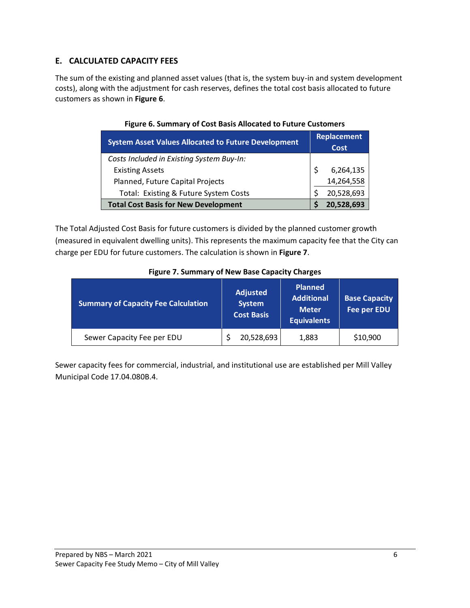## **E. CALCULATED CAPACITY FEES**

The sum of the existing and planned asset values (that is, the system buy-in and system development costs), along with the adjustment for cash reserves, defines the total cost basis allocated to future customers as shown in **Figure 6**.

| <b>System Asset Values Allocated to Future Development</b> | <b>Replacement</b><br><b>Cost</b> |            |  |  |
|------------------------------------------------------------|-----------------------------------|------------|--|--|
| Costs Included in Existing System Buy-In:                  |                                   |            |  |  |
| <b>Existing Assets</b>                                     |                                   | 6,264,135  |  |  |
| Planned, Future Capital Projects                           |                                   | 14,264,558 |  |  |
| Total: Existing & Future System Costs                      |                                   | 20,528,693 |  |  |
| <b>Total Cost Basis for New Development</b>                |                                   | 20,528,693 |  |  |

### **Figure 6. Summary of Cost Basis Allocated to Future Customers**

The Total Adjusted Cost Basis for future customers is divided by the planned customer growth (measured in equivalent dwelling units). This represents the maximum capacity fee that the City can charge per EDU for future customers. The calculation is shown in **Figure 7**.

| <b>Summary of Capacity Fee Calculation</b> | Adjusted<br><b>System</b><br><b>Cost Basis</b> | <b>Planned</b><br><b>Additional</b><br><b>Meter</b><br><b>Equivalents</b> | <b>Base Capacity</b><br><b>Fee per EDU</b> |  |  |  |  |  |
|--------------------------------------------|------------------------------------------------|---------------------------------------------------------------------------|--------------------------------------------|--|--|--|--|--|
| Sewer Capacity Fee per EDU                 | 20,528,693                                     | 1,883                                                                     | \$10,900                                   |  |  |  |  |  |

#### **Figure 7. Summary of New Base Capacity Charges**

Sewer capacity fees for commercial, industrial, and institutional use are established per Mill Valley Municipal Code 17.04.080B.4.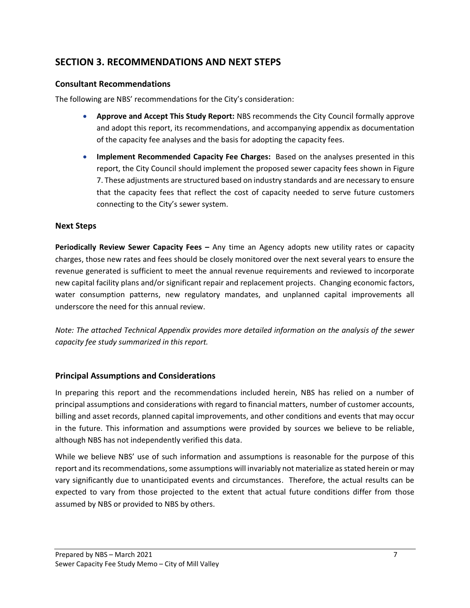## **SECTION 3. RECOMMENDATIONS AND NEXT STEPS**

## **Consultant Recommendations**

The following are NBS' recommendations for the City's consideration:

- **Approve and Accept This Study Report:** NBS recommends the City Council formally approve and adopt this report, its recommendations, and accompanying appendix as documentation of the capacity fee analyses and the basis for adopting the capacity fees.
- **Implement Recommended Capacity Fee Charges:** Based on the analyses presented in this report, the City Council should implement the proposed sewer capacity fees shown in Figure 7. These adjustments are structured based on industry standards and are necessary to ensure that the capacity fees that reflect the cost of capacity needed to serve future customers connecting to the City's sewer system.

## **Next Steps**

**Periodically Review Sewer Capacity Fees –** Any time an Agency adopts new utility rates or capacity charges, those new rates and fees should be closely monitored over the next several years to ensure the revenue generated is sufficient to meet the annual revenue requirements and reviewed to incorporate new capital facility plans and/or significant repair and replacement projects. Changing economic factors, water consumption patterns, new regulatory mandates, and unplanned capital improvements all underscore the need for this annual review.

*Note: The attached Technical Appendix provides more detailed information on the analysis of the sewer capacity fee study summarized in this report.*

## **Principal Assumptions and Considerations**

In preparing this report and the recommendations included herein, NBS has relied on a number of principal assumptions and considerations with regard to financial matters, number of customer accounts, billing and asset records, planned capital improvements, and other conditions and events that may occur in the future. This information and assumptions were provided by sources we believe to be reliable, although NBS has not independently verified this data.

While we believe NBS' use of such information and assumptions is reasonable for the purpose of this report and its recommendations, some assumptions will invariably not materialize as stated herein or may vary significantly due to unanticipated events and circumstances. Therefore, the actual results can be expected to vary from those projected to the extent that actual future conditions differ from those assumed by NBS or provided to NBS by others.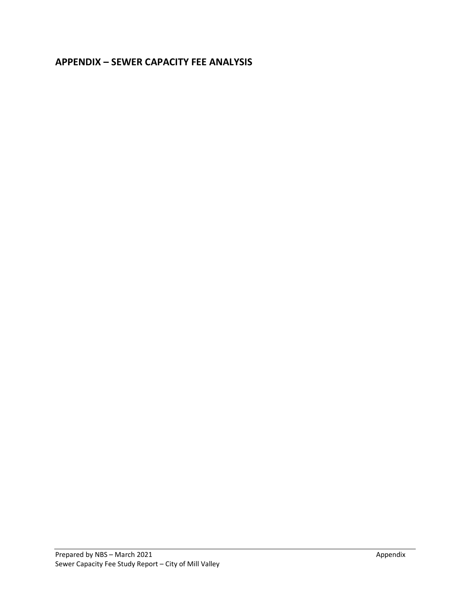## **APPENDIX – SEWER CAPACITY FEE ANALYSIS**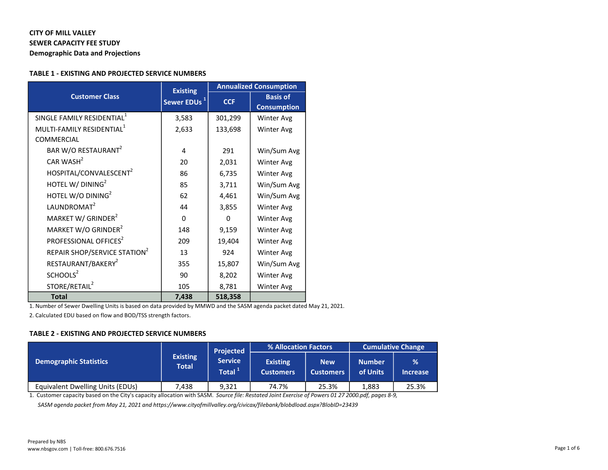## CITY OF MILL VALLEY SEWER CAPACITY FEE STUDY

Demographic Data and Projections

#### TABLE 1 - EXISTING AND PROJECTED SERVICE NUMBERS

|                                          | <b>Existing</b>         | <b>Annualized Consumption</b> |                    |  |  |  |
|------------------------------------------|-------------------------|-------------------------------|--------------------|--|--|--|
| <b>Customer Class</b>                    | Sewer EDUs <sup>1</sup> | <b>CCF</b>                    | <b>Basis of</b>    |  |  |  |
|                                          |                         |                               | <b>Consumption</b> |  |  |  |
| SINGLE FAMILY RESIDENTIAL <sup>1</sup>   | 3,583                   | 301,299                       | Winter Avg         |  |  |  |
| MULTI-FAMILY RESIDENTIAL <sup>1</sup>    | 2,633                   | 133,698                       | Winter Avg         |  |  |  |
| <b>COMMERCIAL</b>                        |                         |                               |                    |  |  |  |
| BAR W/O RESTAURANT <sup>2</sup>          | 4                       | 291                           | Win/Sum Avg        |  |  |  |
| CAR WASH $2$                             | 20                      | 2,031                         | Winter Avg         |  |  |  |
| HOSPITAL/CONVALESCENT <sup>2</sup>       | 86                      | 6,735                         | Winter Avg         |  |  |  |
| HOTEL W/ DINING <sup>2</sup>             | 85                      | 3,711                         | Win/Sum Avg        |  |  |  |
| HOTEL W/O DINING <sup>2</sup>            | 62                      | 4,461                         | Win/Sum Avg        |  |  |  |
| LAUNDROMAT <sup>2</sup>                  | 44                      | 3,855                         | Winter Avg         |  |  |  |
| MARKET W/ GRINDER <sup>2</sup>           | $\Omega$                | $\Omega$                      | <b>Winter Avg</b>  |  |  |  |
| MARKET W/O GRINDER <sup>2</sup>          | 148                     | 9,159                         | Winter Avg         |  |  |  |
| PROFESSIONAL OFFICES <sup>2</sup>        | 209                     | 19,404                        | Winter Avg         |  |  |  |
| REPAIR SHOP/SERVICE STATION <sup>2</sup> | 13                      | 924                           | Winter Avg         |  |  |  |
| RESTAURANT/BAKERY <sup>2</sup>           | 355                     | 15,807                        | Win/Sum Avg        |  |  |  |
| SCHOOLS <sup>2</sup>                     | 90                      | 8,202                         | Winter Avg         |  |  |  |
| STORE/RETAIL <sup>2</sup>                | 105                     | 8,781                         | Winter Avg         |  |  |  |
| <b>Total</b>                             | 7,438                   | 518,358                       |                    |  |  |  |

1. Number of Sewer Dwelling Units is based on data provided by MMWD and the SASM agenda packet dated May 21, 2021.

2. Calculated EDU based on flow and BOD/TSS strength factors.

#### TABLE 2 - EXISTING AND PROJECTED SERVICE NUMBERS

|                                         |                          | <b>Projected</b>                     | % Allocation Factors                |                                | <b>Cumulative Change</b>  |                                  |  |
|-----------------------------------------|--------------------------|--------------------------------------|-------------------------------------|--------------------------------|---------------------------|----------------------------------|--|
| <b>Demographic Statistics</b>           | <b>Existing</b><br>Total | <b>Service</b><br>Total <sup>1</sup> | <b>Existing</b><br><b>Customers</b> | <b>New</b><br><b>Customers</b> | <b>Number</b><br>of Units | $\frac{9}{6}$<br><b>Increase</b> |  |
| <b>Equivalent Dwelling Units (EDUs)</b> | 7.438                    | 9.321                                | 74.7%                               | 25.3%                          | 1,883                     | 25.3%                            |  |

1. Customer capacity based on the City's capacity allocation with SASM. Source file: Restated Joint Exercise of Powers 01 27 2000.pdf, pages 8-9,

SASM agenda packet from May 21, 2021 and https://www.cityofmillvalley.org/civicax/filebank/blobdload.aspx?BlobID=23439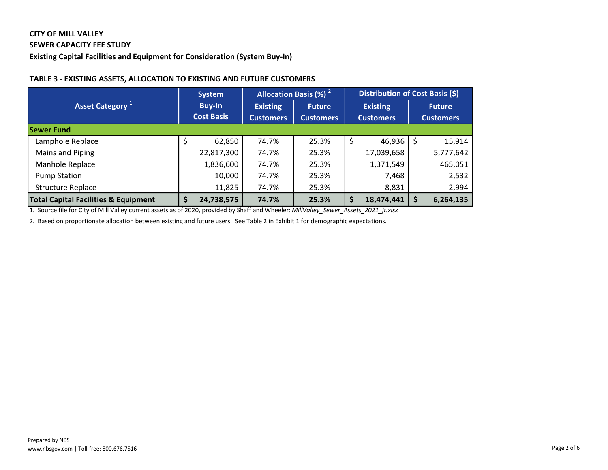## CITY OF MILL VALLEY

#### SEWER CAPACITY FEE STUDY

Existing Capital Facilities and Equipment for Consideration (System Buy-In)

#### TABLE 3 - EXISTING ASSETS, ALLOCATION TO EXISTING AND FUTURE CUSTOMERS

|                                                 |                                    | <b>System</b> |                                     | <b>Allocation Basis (%)<sup>2</sup></b> | Distribution of Cost Basis (\$) |                                     |   |                                   |  |
|-------------------------------------------------|------------------------------------|---------------|-------------------------------------|-----------------------------------------|---------------------------------|-------------------------------------|---|-----------------------------------|--|
| <b>Asset Category</b>                           | <b>Buy-In</b><br><b>Cost Basis</b> |               | <b>Existing</b><br><b>Customers</b> | <b>Future</b><br><b>Customers</b>       |                                 | <b>Existing</b><br><b>Customers</b> |   | <b>Future</b><br><b>Customers</b> |  |
| <b>Sewer Fund</b>                               |                                    |               |                                     |                                         |                                 |                                     |   |                                   |  |
| Lamphole Replace                                | Ş                                  | 62,850        | 74.7%                               | 25.3%                                   | \$                              | 46,936                              | S | 15,914                            |  |
| Mains and Piping                                |                                    | 22,817,300    | 74.7%                               | 25.3%                                   |                                 | 17,039,658                          |   | 5,777,642                         |  |
| Manhole Replace                                 |                                    | 1,836,600     | 74.7%                               | 25.3%                                   |                                 | 1,371,549                           |   | 465,051                           |  |
| <b>Pump Station</b>                             |                                    | 10,000        | 74.7%                               | 25.3%                                   |                                 | 7,468                               |   | 2,532                             |  |
| <b>Structure Replace</b>                        |                                    | 11,825        | 74.7%                               | 25.3%                                   |                                 | 8,831                               |   | 2,994                             |  |
| <b>Total Capital Facilities &amp; Equipment</b> |                                    | 24,738,575    | 74.7%                               | 25.3%                                   | \$                              | 18,474,441                          |   | 6,264,135                         |  |

1. Source file for City of Mill Valley current assets as of 2020, provided by Shaff and Wheeler: MillValley\_Sewer\_Assets\_2021\_jt.xlsx

2. Based on proportionate allocation between existing and future users. See Table 2 in Exhibit 1 for demographic expectations.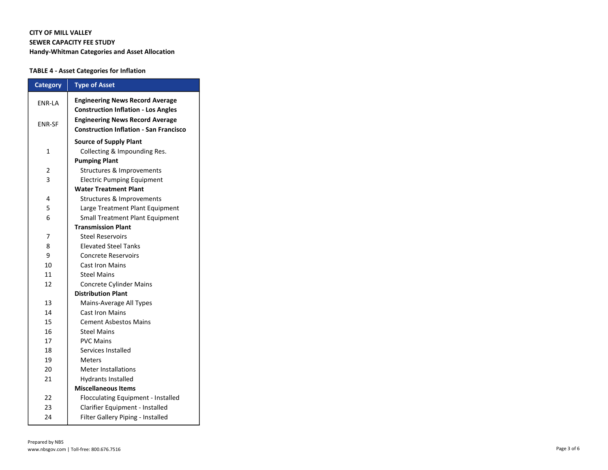#### CITY OF MILL VALLEY SEWER CAPACITY FEE STUDY Handy-Whitman Categories and Asset Allocation

#### TABLE 4 - Asset Categories for Inflation

| <b>Category</b>           | <b>Type of Asset</b>                                                                    |  |  |  |  |
|---------------------------|-----------------------------------------------------------------------------------------|--|--|--|--|
| <b>ENR-LA</b>             | <b>Engineering News Record Average</b>                                                  |  |  |  |  |
|                           | <b>Construction Inflation - Los Angles</b>                                              |  |  |  |  |
| <b>ENR-SF</b>             | <b>Engineering News Record Average</b><br><b>Construction Inflation - San Francisco</b> |  |  |  |  |
|                           |                                                                                         |  |  |  |  |
|                           | <b>Source of Supply Plant</b>                                                           |  |  |  |  |
| $\mathbf{1}$              | Collecting & Impounding Res.                                                            |  |  |  |  |
|                           | <b>Pumping Plant</b>                                                                    |  |  |  |  |
| 2                         | Structures & Improvements                                                               |  |  |  |  |
| 3                         | <b>Electric Pumping Equipment</b>                                                       |  |  |  |  |
|                           | <b>Water Treatment Plant</b>                                                            |  |  |  |  |
| 4                         | Structures & Improvements                                                               |  |  |  |  |
| 5                         | Large Treatment Plant Equipment                                                         |  |  |  |  |
| 6                         | <b>Small Treatment Plant Equipment</b>                                                  |  |  |  |  |
|                           | <b>Transmission Plant</b>                                                               |  |  |  |  |
| 7                         | <b>Steel Reservoirs</b>                                                                 |  |  |  |  |
| 8                         | <b>Elevated Steel Tanks</b>                                                             |  |  |  |  |
| 9                         | <b>Concrete Reservoirs</b>                                                              |  |  |  |  |
| 10                        | <b>Cast Iron Mains</b>                                                                  |  |  |  |  |
| 11                        | <b>Steel Mains</b>                                                                      |  |  |  |  |
| 12                        | Concrete Cylinder Mains                                                                 |  |  |  |  |
| <b>Distribution Plant</b> |                                                                                         |  |  |  |  |
| 13                        | Mains-Average All Types                                                                 |  |  |  |  |
| 14                        | <b>Cast Iron Mains</b>                                                                  |  |  |  |  |
| 15                        | <b>Cement Asbestos Mains</b>                                                            |  |  |  |  |
| 16                        | <b>Steel Mains</b>                                                                      |  |  |  |  |
| 17                        | <b>PVC Mains</b>                                                                        |  |  |  |  |
| 18                        | Services Installed                                                                      |  |  |  |  |
| 19                        | Meters                                                                                  |  |  |  |  |
| 20                        | <b>Meter Installations</b>                                                              |  |  |  |  |
| 21                        | <b>Hydrants Installed</b>                                                               |  |  |  |  |
|                           | <b>Miscellaneous Items</b>                                                              |  |  |  |  |
| 22                        | Flocculating Equipment - Installed                                                      |  |  |  |  |
| 23                        | Clarifier Equipment - Installed                                                         |  |  |  |  |
| 24                        | Filter Gallery Piping - Installed                                                       |  |  |  |  |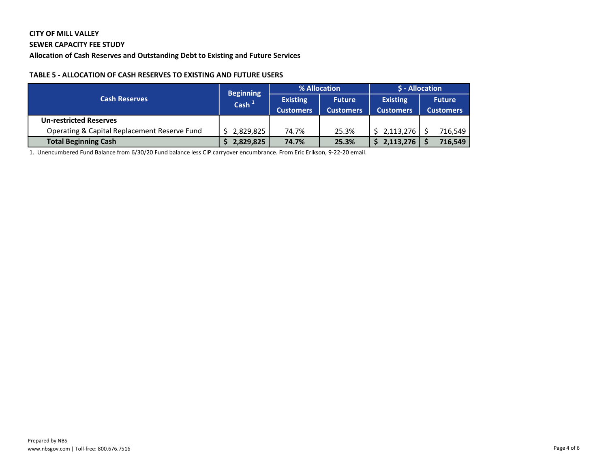# CITY OF MILL VALLEY

## SEWER CAPACITY FEE STUDY

Allocation of Cash Reserves and Outstanding Debt to Existing and Future Services

#### TABLE 5 - ALLOCATION OF CASH RESERVES TO EXISTING AND FUTURE USERS

|                                              | <b>Beginning</b> |                  | % Allocation     | \$ - Allocation  |                  |  |  |
|----------------------------------------------|------------------|------------------|------------------|------------------|------------------|--|--|
| <b>Cash Reserves</b>                         | $\cosh^{-1}$     | <b>Existing</b>  | <b>Future</b>    | <b>Existing</b>  | <b>Future</b>    |  |  |
|                                              |                  | <b>Customers</b> | <b>Customers</b> | <b>Customers</b> | <b>Customers</b> |  |  |
| <b>Un-restricted Reserves</b>                |                  |                  |                  |                  |                  |  |  |
| Operating & Capital Replacement Reserve Fund | 2,829,825        | 74.7%            | 25.3%            | 2,113,276        | 716,549          |  |  |
| <b>Total Beginning Cash</b>                  | 2,829,825        | 74.7%            | 25.3%            | 2,113,276        | 716,549          |  |  |

1. Unencumbered Fund Balance from 6/30/20 Fund balance less CIP carryover encumbrance. From Eric Erikson, 9-22-20 email.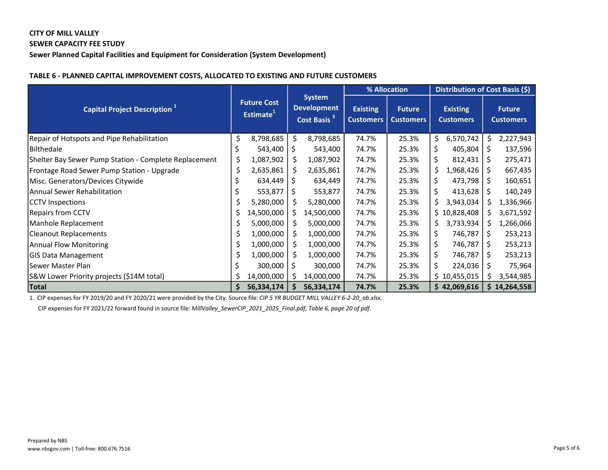## CITY OF MILL VALLEY SEWER CAPACITY FEE STUDY

Sewer Planned Capital Facilities and Equipment for Consideration (System Development)

|                                                       |                                             |            |                                                                |            | % Allocation                        |                                   |                                     | Distribution of Cost Basis (\$) |              |                                   |  |
|-------------------------------------------------------|---------------------------------------------|------------|----------------------------------------------------------------|------------|-------------------------------------|-----------------------------------|-------------------------------------|---------------------------------|--------------|-----------------------------------|--|
| <b>Capital Project Description</b> <sup>1</sup>       | <b>Future Cost</b><br>Estimate <sup>+</sup> |            | <b>System</b><br><b>Development</b><br>Cost Basis <sup>3</sup> |            | <b>Existing</b><br><b>Customers</b> | <b>Future</b><br><b>Customers</b> | <b>Existing</b><br><b>Customers</b> |                                 |              | <b>Future</b><br><b>Customers</b> |  |
| Repair of Hotspots and Pipe Rehabilitation            | \$                                          | 8,798,685  | \$                                                             | 8,798,685  | 74.7%                               | 25.3%                             | \$.                                 | 6,570,742                       |              | 2,227,943                         |  |
| Bilthedale                                            |                                             | 543,400    | Ş                                                              | 543,400    | 74.7%                               | 25.3%                             | \$                                  | 405,804                         | -S           | 137,596                           |  |
| Shelter Bay Sewer Pump Station - Complete Replacement | \$                                          | 1,087,902  | \$                                                             | 1,087,902  | 74.7%                               | 25.3%                             | \$                                  | 812,431                         | S            | 275,471                           |  |
| Frontage Road Sewer Pump Station - Upgrade            | \$                                          | 2,635,861  | \$                                                             | 2,635,861  | 74.7%                               | 25.3%                             | \$.                                 | 1,968,426                       | S.           | 667,435                           |  |
| Misc. Generators/Devices Citywide                     |                                             | 634,449    | S                                                              | 634,449    | 74.7%                               | 25.3%                             | \$                                  | 473,798                         | S.           | 160,651                           |  |
| <b>Annual Sewer Rehabilitation</b>                    |                                             | 553,877    | S                                                              | 553,877    | 74.7%                               | 25.3%                             | \$                                  | 413,628                         | S            | 140,249                           |  |
| <b>CCTV</b> Inspections                               |                                             | 5,280,000  | \$                                                             | 5,280,000  | 74.7%                               | 25.3%                             | \$                                  | 3,943,034                       | S            | 1,336,966                         |  |
| Repairs from CCTV                                     | Ş                                           | 14,500,000 | S                                                              | 14,500,000 | 74.7%                               | 25.3%                             |                                     | \$10,828,408                    | S.           | 3,671,592                         |  |
| Manhole Replacement                                   |                                             | 5,000,000  | S                                                              | 5,000,000  | 74.7%                               | 25.3%                             | Ş.                                  | 3,733,934                       | S.           | 1,266,066                         |  |
| <b>Cleanout Replacements</b>                          | \$                                          | 1,000,000  | \$                                                             | 1,000,000  | 74.7%                               | 25.3%                             | \$                                  | 746,787                         | S            | 253,213                           |  |
| <b>Annual Flow Monitoring</b>                         | Ş                                           | 1,000,000  | S                                                              | 1,000,000  | 74.7%                               | 25.3%                             | \$                                  | 746,787                         | S            | 253,213                           |  |
| <b>GIS Data Management</b>                            |                                             | 1,000,000  | Ş                                                              | 1,000,000  | 74.7%                               | 25.3%                             | \$                                  | 746,787                         | <sub>S</sub> | 253,213                           |  |
| Sewer Master Plan                                     |                                             | 300,000    | Ş                                                              | 300,000    | 74.7%                               | 25.3%                             | \$                                  | 224,036                         | S            | 75,964                            |  |
| S&W Lower Priority projects (\$14M total)             |                                             | 14,000,000 | S                                                              | 14,000,000 | 74.7%                               | 25.3%                             |                                     | \$10,455,015                    |              | 3,544,985                         |  |
| Total                                                 |                                             | 56,334,174 | Ŝ                                                              | 56,334,174 | 74.7%                               | 25.3%                             |                                     | \$42,069,616                    |              | \$14,264,558                      |  |

#### TABLE 6 - PLANNED CAPITAL IMPROVEMENT COSTS, ALLOCATED TO EXISTING AND FUTURE CUSTOMERS

1. CIP expenses for FY 2019/20 and FY 2020/21 were provided by the City. Source file: CIP 5 YR BUDGET MILL VALLEY 6-2-20\_ab.xlsx.

CIP expenses for FY 2021/22 forward found in source file: MillValley\_SewerCIP\_2021\_2025\_Final.pdf, Table 6, page 20 of pdf.